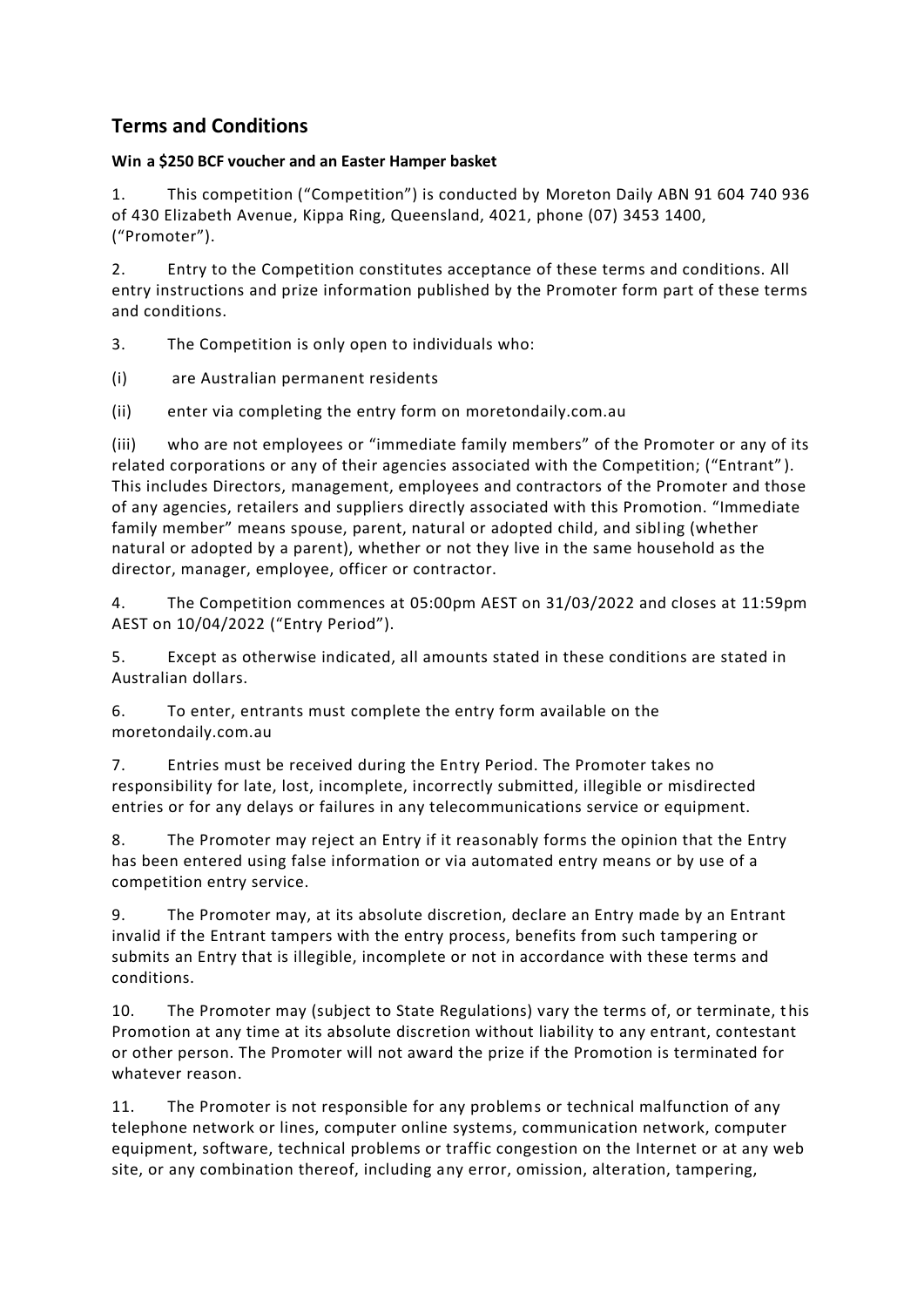## **Terms and Conditions**

## **Win a \$250 BCF voucher and an Easter Hamper basket**

1. This competition ("Competition") is conducted by Moreton Daily ABN 91 604 740 936 of 430 Elizabeth Avenue, Kippa Ring, Queensland, 4021, phone (07) 3453 1400, ("Promoter").

2. Entry to the Competition constitutes acceptance of these terms and conditions. All entry instructions and prize information published by the Promoter form part of these terms and conditions.

3. The Competition is only open to individuals who:

(i) are Australian permanent residents

(ii) enter via completing the entry form on moretondaily.com.au

(iii) who are not employees or "immediate family members" of the Promoter or any of its related corporations or any of their agencies associated with the Competition; ("Entrant" ). This includes Directors, management, employees and contractors of the Promoter and those of any agencies, retailers and suppliers directly associated with this Promotion. "Immediate family member" means spouse, parent, natural or adopted child, and sibling (whether natural or adopted by a parent), whether or not they live in the same household as the director, manager, employee, officer or contractor.

4. The Competition commences at 05:00pm AEST on 31/03/2022 and closes at 11:59pm AEST on 10/04/2022 ("Entry Period").

5. Except as otherwise indicated, all amounts stated in these conditions are stated in Australian dollars.

6. To enter, entrants must complete the entry form available on the moretondaily.com.au

7. Entries must be received during the Entry Period. The Promoter takes no responsibility for late, lost, incomplete, incorrectly submitted, illegible or misdirected entries or for any delays or failures in any telecommunications service or equipment.

8. The Promoter may reject an Entry if it reasonably forms the opinion that the Entry has been entered using false information or via automated entry means or by use of a competition entry service.

9. The Promoter may, at its absolute discretion, declare an Entry made by an Entrant invalid if the Entrant tampers with the entry process, benefits from such tampering or submits an Entry that is illegible, incomplete or not in accordance with these terms and conditions.

10. The Promoter may (subject to State Regulations) vary the terms of, or terminate, this Promotion at any time at its absolute discretion without liability to any entrant, contestant or other person. The Promoter will not award the prize if the Promotion is terminated for whatever reason.

11. The Promoter is not responsible for any problems or technical malfunction of any telephone network or lines, computer online systems, communication network, computer equipment, software, technical problems or traffic congestion on the Internet or at any web site, or any combination thereof, including any error, omission, alteration, tampering,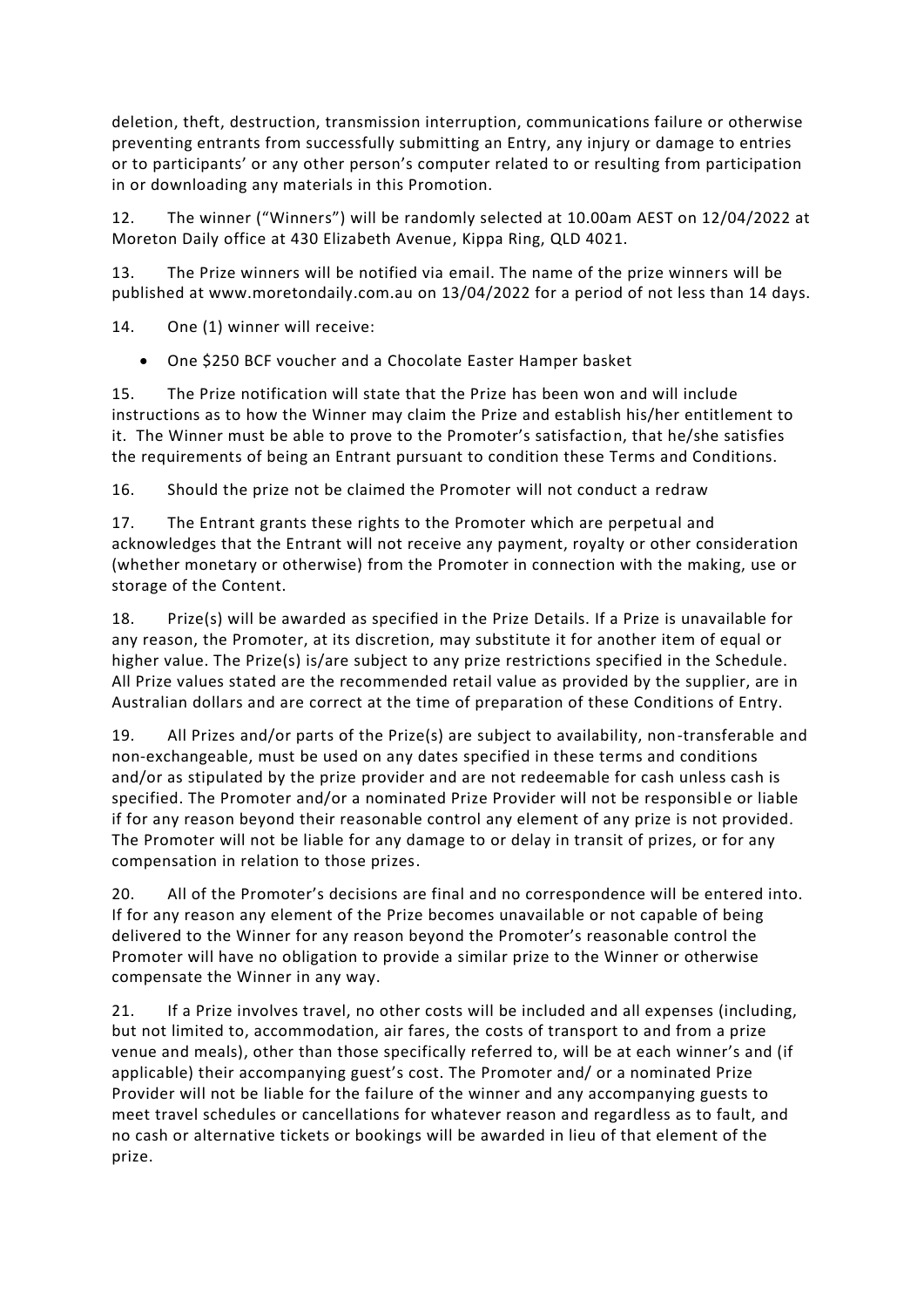deletion, theft, destruction, transmission interruption, communications failure or otherwise preventing entrants from successfully submitting an Entry, any injury or damage to entries or to participants' or any other person's computer related to or resulting from participation in or downloading any materials in this Promotion.

12. The winner ("Winners") will be randomly selected at 10.00am AEST on 12/04/2022 at Moreton Daily office at 430 Elizabeth Avenue, Kippa Ring, QLD 4021.

13. The Prize winners will be notified via email. The name of the prize winners will be published at www.moretondaily.com.au on 13/04/2022 for a period of not less than 14 days.

14. One (1) winner will receive:

• One \$250 BCF voucher and a Chocolate Easter Hamper basket

15. The Prize notification will state that the Prize has been won and will include instructions as to how the Winner may claim the Prize and establish his/her entitlement to it. The Winner must be able to prove to the Promoter's satisfaction, that he/she satisfies the requirements of being an Entrant pursuant to condition these Terms and Conditions.

16. Should the prize not be claimed the Promoter will not conduct a redraw

17. The Entrant grants these rights to the Promoter which are perpetual and acknowledges that the Entrant will not receive any payment, royalty or other consideration (whether monetary or otherwise) from the Promoter in connection with the making, use or storage of the Content.

18. Prize(s) will be awarded as specified in the Prize Details. If a Prize is unavailable for any reason, the Promoter, at its discretion, may substitute it for another item of equal or higher value. The Prize(s) is/are subject to any prize restrictions specified in the Schedule. All Prize values stated are the recommended retail value as provided by the supplier, are in Australian dollars and are correct at the time of preparation of these Conditions of Entry.

19. All Prizes and/or parts of the Prize(s) are subject to availability, non-transferable and non-exchangeable, must be used on any dates specified in these terms and conditions and/or as stipulated by the prize provider and are not redeemable for cash unless cash is specified. The Promoter and/or a nominated Prize Provider will not be responsible or liable if for any reason beyond their reasonable control any element of any prize is not provided. The Promoter will not be liable for any damage to or delay in transit of prizes, or for any compensation in relation to those prizes.

20. All of the Promoter's decisions are final and no correspondence will be entered into. If for any reason any element of the Prize becomes unavailable or not capable of being delivered to the Winner for any reason beyond the Promoter's reasonable control the Promoter will have no obligation to provide a similar prize to the Winner or otherwise compensate the Winner in any way.

21. If a Prize involves travel, no other costs will be included and all expenses (including, but not limited to, accommodation, air fares, the costs of transport to and from a prize venue and meals), other than those specifically referred to, will be at each winner's and (if applicable) their accompanying guest's cost. The Promoter and/ or a nominated Prize Provider will not be liable for the failure of the winner and any accompanying guests to meet travel schedules or cancellations for whatever reason and regardless as to fault, and no cash or alternative tickets or bookings will be awarded in lieu of that element of the prize.